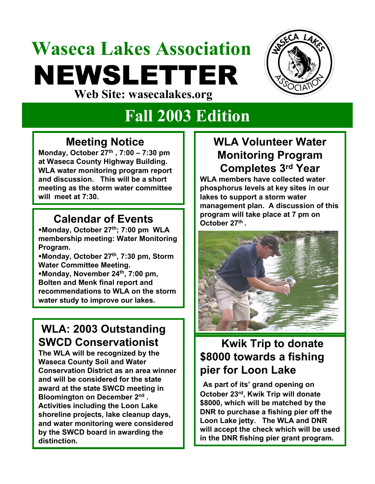# **Waseca Lakes Association** NEWSLETTER **Web Site: wasecalakes.org**



## **Fall 2003 Edition**

#### **Meeting Notice**

**Monday, October 27th , 7:00 – 7:30 pm at Waseca County Highway Building. WLA water monitoring program report and discussion. This will be a short meeting as the storm water committee will meet at 7:30.** 

# **October 27th Calendar of Events . Monday, October 27th; 7:00 pm WLA**

**membership meeting: Water Monitoring Program.**

**Monday, October 27th, 7:30 pm, Storm Water Committee Meeting.** 

**Monday, November 24th, 7:00 pm, Bolten and Menk final report and recommendations to WLA on the storm water study to improve our lakes.**

### **WLA: 2003 Outstanding SWCD Conservationist**

**The WLA will be recognized by the Waseca County Soil and Water Conservation District as an area winner and will be considered for the state award at the state SWCD meeting in Bloomington on December 2nd . Activities including the Loon Lake shoreline projects, lake cleanup days, and water monitoring were considered by the SWCD board in awarding the distinction.**

#### **WLA Volunteer Water Monitoring Program Completes 3rd Year**

**WLA members have collected water phosphorus levels at key sites in our lakes to support a storm water management plan. A discussion of this program will take place at 7 pm on** 



### **Kwik Trip to donate \$8000 towards a fishing pier for Loon Lake**

**As part of its' grand opening on October 23rd, Kwik Trip will donate \$8000, which will be matched by the DNR to purchase a fishing pier off the Loon Lake jetty. The WLA and DNR will accept the check which will be used in the DNR fishing pier grant program.**